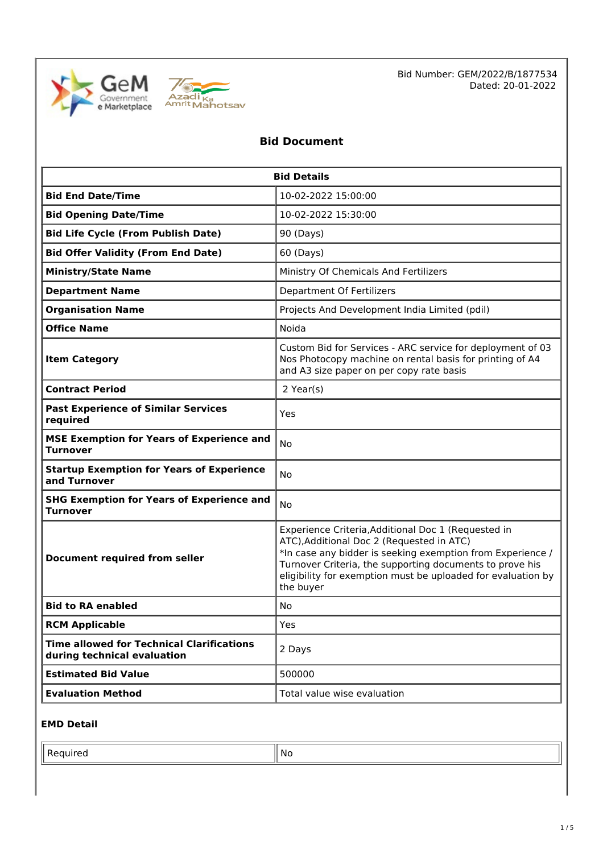



# **Bid Document**

| <b>Bid Details</b>                                                              |                                                                                                                                                                                                                                                                                                         |  |  |  |
|---------------------------------------------------------------------------------|---------------------------------------------------------------------------------------------------------------------------------------------------------------------------------------------------------------------------------------------------------------------------------------------------------|--|--|--|
| <b>Bid End Date/Time</b>                                                        | 10-02-2022 15:00:00                                                                                                                                                                                                                                                                                     |  |  |  |
| <b>Bid Opening Date/Time</b>                                                    | 10-02-2022 15:30:00                                                                                                                                                                                                                                                                                     |  |  |  |
| <b>Bid Life Cycle (From Publish Date)</b>                                       | 90 (Days)                                                                                                                                                                                                                                                                                               |  |  |  |
| <b>Bid Offer Validity (From End Date)</b>                                       | 60 (Days)                                                                                                                                                                                                                                                                                               |  |  |  |
| <b>Ministry/State Name</b>                                                      | Ministry Of Chemicals And Fertilizers                                                                                                                                                                                                                                                                   |  |  |  |
| <b>Department Name</b>                                                          | <b>Department Of Fertilizers</b>                                                                                                                                                                                                                                                                        |  |  |  |
| <b>Organisation Name</b>                                                        | Projects And Development India Limited (pdil)                                                                                                                                                                                                                                                           |  |  |  |
| <b>Office Name</b>                                                              | Noida                                                                                                                                                                                                                                                                                                   |  |  |  |
| <b>Item Category</b>                                                            | Custom Bid for Services - ARC service for deployment of 03<br>Nos Photocopy machine on rental basis for printing of A4<br>and A3 size paper on per copy rate basis                                                                                                                                      |  |  |  |
| <b>Contract Period</b>                                                          | 2 Year(s)                                                                                                                                                                                                                                                                                               |  |  |  |
| <b>Past Experience of Similar Services</b><br>required                          | Yes                                                                                                                                                                                                                                                                                                     |  |  |  |
| <b>MSE Exemption for Years of Experience and</b><br><b>Turnover</b>             | <b>No</b>                                                                                                                                                                                                                                                                                               |  |  |  |
| <b>Startup Exemption for Years of Experience</b><br>and Turnover                | No                                                                                                                                                                                                                                                                                                      |  |  |  |
| <b>SHG Exemption for Years of Experience and</b><br><b>Turnover</b>             | <b>No</b>                                                                                                                                                                                                                                                                                               |  |  |  |
| <b>Document required from seller</b>                                            | Experience Criteria, Additional Doc 1 (Requested in<br>ATC), Additional Doc 2 (Requested in ATC)<br>*In case any bidder is seeking exemption from Experience /<br>Turnover Criteria, the supporting documents to prove his<br>eligibility for exemption must be uploaded for evaluation by<br>the buyer |  |  |  |
| <b>Bid to RA enabled</b>                                                        | No                                                                                                                                                                                                                                                                                                      |  |  |  |
| <b>RCM Applicable</b>                                                           | Yes                                                                                                                                                                                                                                                                                                     |  |  |  |
| <b>Time allowed for Technical Clarifications</b><br>during technical evaluation | 2 Days                                                                                                                                                                                                                                                                                                  |  |  |  |
| <b>Estimated Bid Value</b>                                                      | 500000                                                                                                                                                                                                                                                                                                  |  |  |  |
| <b>Evaluation Method</b>                                                        | Total value wise evaluation                                                                                                                                                                                                                                                                             |  |  |  |

# **EMD Detail**

Required  $\|\mathsf{No}\|$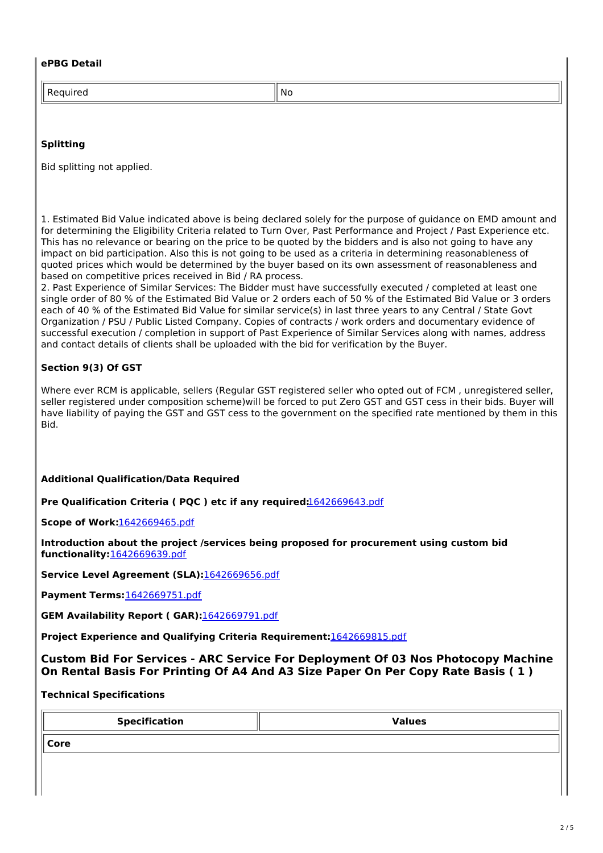#### **ePBG Detail**

Required No. 2012 12:00:00 No. 2012

#### **Splitting**

Bid splitting not applied.

1. Estimated Bid Value indicated above is being declared solely for the purpose of guidance on EMD amount and for determining the Eligibility Criteria related to Turn Over, Past Performance and Project / Past Experience etc. This has no relevance or bearing on the price to be quoted by the bidders and is also not going to have any impact on bid participation. Also this is not going to be used as a criteria in determining reasonableness of quoted prices which would be determined by the buyer based on its own assessment of reasonableness and based on competitive prices received in Bid / RA process.

2. Past Experience of Similar Services: The Bidder must have successfully executed / completed at least one single order of 80 % of the Estimated Bid Value or 2 orders each of 50 % of the Estimated Bid Value or 3 orders each of 40 % of the Estimated Bid Value for similar service(s) in last three years to any Central / State Govt Organization / PSU / Public Listed Company. Copies of contracts / work orders and documentary evidence of successful execution / completion in support of Past Experience of Similar Services along with names, address and contact details of clients shall be uploaded with the bid for verification by the Buyer.

# **Section 9(3) Of GST**

Where ever RCM is applicable, sellers (Regular GST registered seller who opted out of FCM , unregistered seller, seller registered under composition scheme)will be forced to put Zero GST and GST cess in their bids. Buyer will have liability of paying the GST and GST cess to the government on the specified rate mentioned by them in this Bid.

#### **Additional Qualification/Data Required**

**Pre Qualification Criteria ( PQC ) etc if any required:**[1642669643.pdf](https://bidplus.gem.gov.in/resources/upload2/JanQ122/bidding/biddoc/bid-3069520/1642669643.pdf)

**Scope of Work:**[1642669465.pdf](https://bidplus.gem.gov.in/resources/upload2/JanQ122/bidding/biddoc/bid-3069520/1642669465.pdf)

**Introduction about the project /services being proposed for procurement using custom bid functionality:**[1642669639.pdf](https://bidplus.gem.gov.in/resources/upload2/JanQ122/bidding/biddoc/bid-3069520/1642669639.pdf)

**Service Level Agreement (SLA):**[1642669656.pdf](https://bidplus.gem.gov.in/resources/upload2/JanQ122/bidding/biddoc/bid-3069520/1642669656.pdf)

**Payment Terms:**[1642669751.pdf](https://bidplus.gem.gov.in/resources/upload2/JanQ122/bidding/biddoc/bid-3069520/1642669751.pdf)

**GEM Availability Report ( GAR):**[1642669791.pdf](https://bidplus.gem.gov.in/resources/upload2/JanQ122/bidding/biddoc/bid-3069520/1642669791.pdf)

**Project Experience and Qualifying Criteria Requirement:**[1642669815.pdf](https://bidplus.gem.gov.in/resources/upload2/JanQ122/bidding/biddoc/bid-3069520/1642669815.pdf)

**Custom Bid For Services - ARC Service For Deployment Of 03 Nos Photocopy Machine On Rental Basis For Printing Of A4 And A3 Size Paper On Per Copy Rate Basis ( 1 )**

**Technical Specifications**

**Specification Values**

**Core**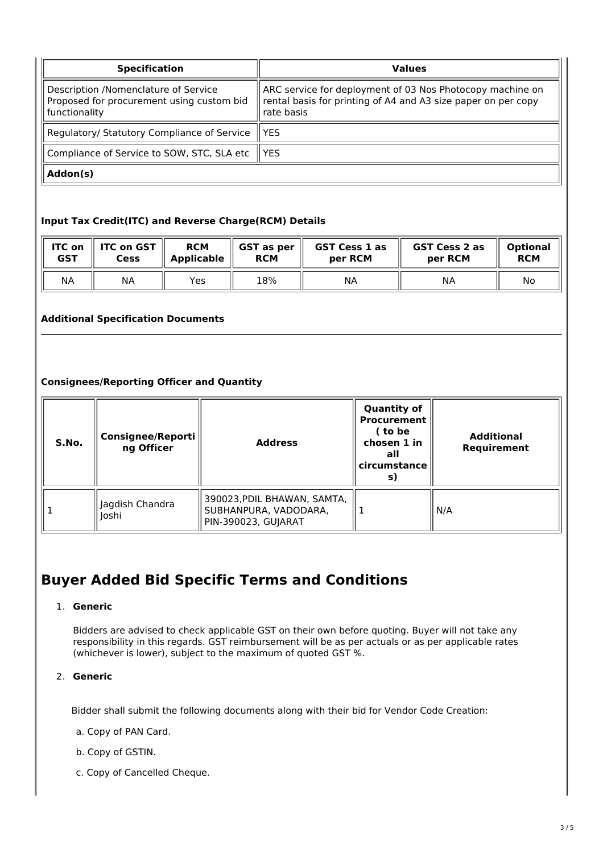| <b>Specification</b>                                                                               | <b>Values</b>                                                                                                                            |  |  |  |
|----------------------------------------------------------------------------------------------------|------------------------------------------------------------------------------------------------------------------------------------------|--|--|--|
| Description /Nomenclature of Service<br>Proposed for procurement using custom bid<br>functionality | ARC service for deployment of 03 Nos Photocopy machine on<br>rental basis for printing of A4 and A3 size paper on per copy<br>rate basis |  |  |  |
| Regulatory/ Statutory Compliance of Service                                                        | l YES                                                                                                                                    |  |  |  |
| Compliance of Service to SOW, STC, SLA etc.                                                        | l YES                                                                                                                                    |  |  |  |
| Addon(s)                                                                                           |                                                                                                                                          |  |  |  |

# **Input Tax Credit(ITC) and Reverse Charge(RCM) Details**

| <b>ITC on</b> | <b>ITC on GST</b> | <b>RCM</b>        | GST as per | <b>GST Cess 1 as</b> | GST Cess 2 as | <b>Optional</b> |
|---------------|-------------------|-------------------|------------|----------------------|---------------|-----------------|
| <b>GST</b>    | Cess              | <b>Applicable</b> | <b>RCM</b> | per RCM              | per RCM       | <b>RCM</b>      |
| NА            | <b>NA</b>         | Yes               | 18%        | ΝA                   | ΝA            | No              |

# **Additional Specification Documents**

# **Consignees/Reporting Officer and Quantity**

| S.No. | <b>Consignee/Reporti</b><br>ng Officer | <b>Address</b>                                                              | <b>Quantity of</b><br><b>Procurement</b><br>( to be<br>chosen 1 in<br>all<br>circumstance<br>S) | <b>Additional</b><br>Requirement |
|-------|----------------------------------------|-----------------------------------------------------------------------------|-------------------------------------------------------------------------------------------------|----------------------------------|
|       | Jagdish Chandra<br>Joshi               | 390023, PDIL BHAWAN, SAMTA,<br>SUBHANPURA, VADODARA,<br>PIN-390023, GUJARAT |                                                                                                 | N/A                              |

# **Buyer Added Bid Specific Terms and Conditions**

#### 1. **Generic**

Bidders are advised to check applicable GST on their own before quoting. Buyer will not take any responsibility in this regards. GST reimbursement will be as per actuals or as per applicable rates (whichever is lower), subject to the maximum of quoted GST %.

### 2. **Generic**

Bidder shall submit the following documents along with their bid for Vendor Code Creation:

- a. Copy of PAN Card.
- b. Copy of GSTIN.
- c. Copy of Cancelled Cheque.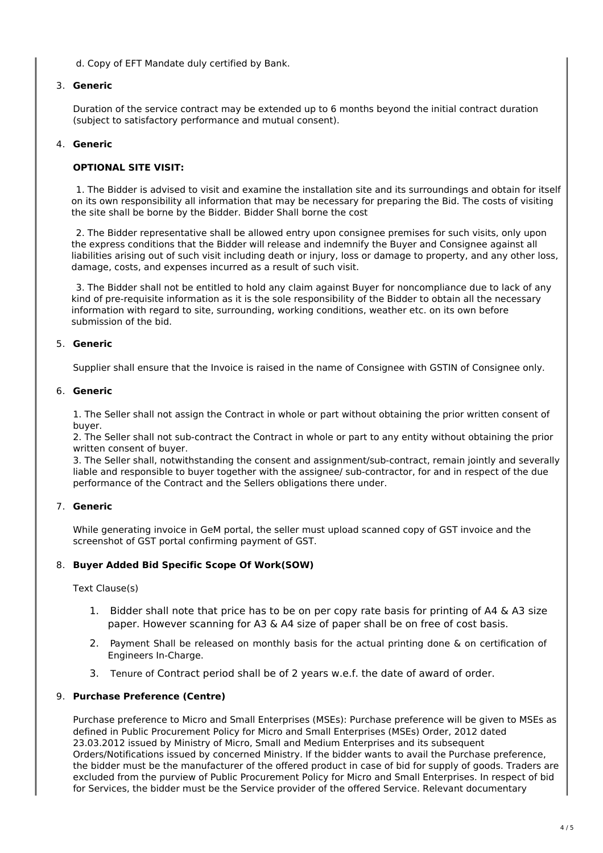d. Copy of EFT Mandate duly certified by Bank.

### 3. **Generic**

Duration of the service contract may be extended up to 6 months beyond the initial contract duration (subject to satisfactory performance and mutual consent).

# 4. **Generic**

### **OPTIONAL SITE VISIT:**

1. The Bidder is advised to visit and examine the installation site and its surroundings and obtain for itself on its own responsibility all information that may be necessary for preparing the Bid. The costs of visiting the site shall be borne by the Bidder. Bidder Shall borne the cost

2. The Bidder representative shall be allowed entry upon consignee premises for such visits, only upon the express conditions that the Bidder will release and indemnify the Buyer and Consignee against all liabilities arising out of such visit including death or injury, loss or damage to property, and any other loss, damage, costs, and expenses incurred as a result of such visit.

3. The Bidder shall not be entitled to hold any claim against Buyer for noncompliance due to lack of any kind of pre-requisite information as it is the sole responsibility of the Bidder to obtain all the necessary information with regard to site, surrounding, working conditions, weather etc. on its own before submission of the bid.

# 5. **Generic**

Supplier shall ensure that the Invoice is raised in the name of Consignee with GSTIN of Consignee only.

### 6. **Generic**

1. The Seller shall not assign the Contract in whole or part without obtaining the prior written consent of buyer.

2. The Seller shall not sub-contract the Contract in whole or part to any entity without obtaining the prior written consent of buyer.

3. The Seller shall, notwithstanding the consent and assignment/sub-contract, remain jointly and severally liable and responsible to buyer together with the assignee/ sub-contractor, for and in respect of the due performance of the Contract and the Sellers obligations there under.

#### 7. **Generic**

While generating invoice in GeM portal, the seller must upload scanned copy of GST invoice and the screenshot of GST portal confirming payment of GST.

#### 8. **Buyer Added Bid Specific Scope Of Work(SOW)**

#### Text Clause(s)

- 1. Bidder shall note that price has to be on per copy rate basis for printing of A4 & A3 size paper. However scanning for A3 & A4 size of paper shall be on free of cost basis.
- 2. Payment Shall be released on monthly basis for the actual printing done & on certification of Engineers In-Charge.
- 3. Tenure of Contract period shall be of 2 years w.e.f. the date of award of order.

#### 9. **Purchase Preference (Centre)**

Purchase preference to Micro and Small Enterprises (MSEs): Purchase preference will be given to MSEs as defined in Public Procurement Policy for Micro and Small Enterprises (MSEs) Order, 2012 dated 23.03.2012 issued by Ministry of Micro, Small and Medium Enterprises and its subsequent Orders/Notifications issued by concerned Ministry. If the bidder wants to avail the Purchase preference, the bidder must be the manufacturer of the offered product in case of bid for supply of goods. Traders are excluded from the purview of Public Procurement Policy for Micro and Small Enterprises. In respect of bid for Services, the bidder must be the Service provider of the offered Service. Relevant documentary